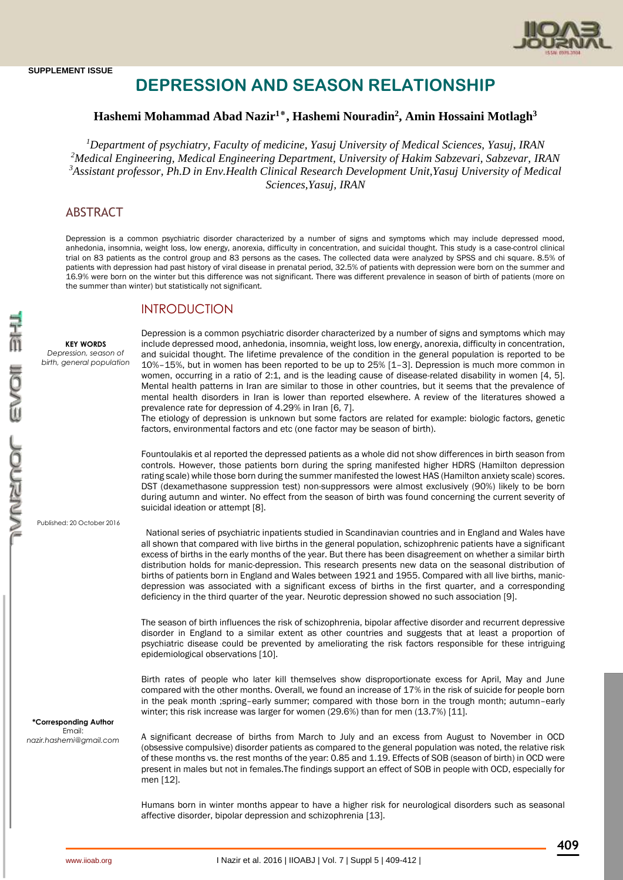

# **DEPRESSION AND SEASON RELATIONSHIP**

# **Hashemi Mohammad Abad Nazir<sup>1</sup>**٭**, Hashemi Nouradin<sup>2</sup> , Amin Hossaini Motlagh<sup>3</sup>**

*Department of psychiatry, Faculty of medicine, Yasuj University of Medical Sciences, Yasuj, IRAN Medical Engineering, Medical Engineering Department, University of Hakim Sabzevari, Sabzevar, IRAN Assistant professor, Ph.D in Env.Health Clinical Research Development Unit,Yasuj University of Medical Sciences,Yasuj, IRAN*

# ABSTRACT

Depression is a common psychiatric disorder characterized by a number of signs and symptoms which may include depressed mood, anhedonia, insomnia, weight loss, low energy, anorexia, difficulty in concentration, and suicidal thought. This study is a case-control clinical trial on 83 patients as the control group and 83 persons as the cases. The collected data were analyzed by SPSS and chi square. 8.5% of patients with depression had past history of viral disease in prenatal period, 32.5% of patients with depression were born on the summer and 16.9% were born on the winter but this difference was not significant. There was different prevalence in season of birth of patients (more on the summer than winter) but statistically not significant.

# INTRODUCTION

**KEY WORDS** *Depression, season of birth, general population* Depression is a common psychiatric disorder characterized by a number of signs and symptoms which may include depressed mood, anhedonia, insomnia, weight loss, low energy, anorexia, difficulty in concentration, and suicidal thought. The lifetime prevalence of the condition in the general population is reported to be 10%–15%, but in women has been reported to be up to 25% [\[1](http://www.ncbi.nlm.nih.gov/pubmed/9592628)–[3\]](http://www.ncbi.nlm.nih.gov/pmc/articles/PMC3284259/#b3-cpaa-4-001). Depression is much more common in women, occurring in a ratio of 2:1, and is the leading cause of disease-related disability in women [\[4,](http://www.ncbi.nlm.nih.gov/pubmed/12646294) [5\]](http://www.ncbi.nlm.nih.gov/pubmed/8300980). Mental health patterns in Iran are similar to those in other countries, but it seems that the prevalence of mental health disorders in Iran is lower than reported elsewhere. A review of the literatures showed a prevalence rate for depression of 4.29% in Iran [\[6,](http://www.ncbi.nlm.nih.gov/pubmed/16185355) [7\]](http://www.ncbi.nlm.nih.gov/pubmed/14702230).

The etiology of depression is unknown but some factors are related for example: biologic factors, genetic factors, environmental factors and etc (one factor may be season of birth).

Fountoulakis et al reported the depressed patients as a whole did not show differences in birth season from controls. However, those patients born during the spring manifested higher HDRS (Hamilton depression rating scale) while those born during the summer manifested the lowest HAS (Hamilton anxiety scale) scores. DST (dexamethasone suppression test) non-suppressors were almost exclusively (90%) likely to be born during autumn and winter. No effect from the season of birth was found concerning the current severity of suicidal ideation or attempt [8].

Published: 20 October 2016

 National series of psychiatric inpatients studied in Scandinavian countries and in England and Wales have all shown that compared with live births in the general population, schizophrenic patients have a significant excess of births in the early months of the year. But there has been disagreement on whether a similar birth distribution holds for manic-depression. This research presents new data on the seasonal distribution of births of patients born in England and Wales between 1921 and 1955. Compared with all live births, manicdepression was associated with a significant excess of births in the first quarter, and a corresponding deficiency in the third quarter of the year. Neurotic depression showed no such association [9].

The season of birth influences the risk of schizophrenia, bipolar affective disorder and recurrent depressive disorder in England to a similar extent as other countries and suggests that at least a proportion of psychiatric disease could be prevented by ameliorating the risk factors responsible for these intriguing epidemiological observations [10].

Birth rates of people who later kill themselves show disproportionate excess for April, May and June compared with the other months. Overall, we found an increase of 17% in the risk of suicide for people born in the peak month ;spring–early summer; compared with those born in the trough month; autumn–early winter; this risk increase was larger for women (29.6%) than for men (13.7%) [11].

**\*Corresponding Author** Email: *[nazir.hashemi@gmail.com](mailto:nazir.hashemi@gmail.com)*

A significant decrease of births from March to July and an excess from August to November in OCD (obsessive compulsive) disorder patients as compared to the general population was noted, the relative risk of these months vs. the rest months of the year: 0.85 and 1.19. Effects of SOB (season of birth) in OCD were present in males but not in females.The findings support an effect of SOB in people with OCD, especially for men [12].

Humans born in winter months appear to have a higher risk for neurological disorders such as seasonal affective disorder, bipolar depression and schizophrenia [13].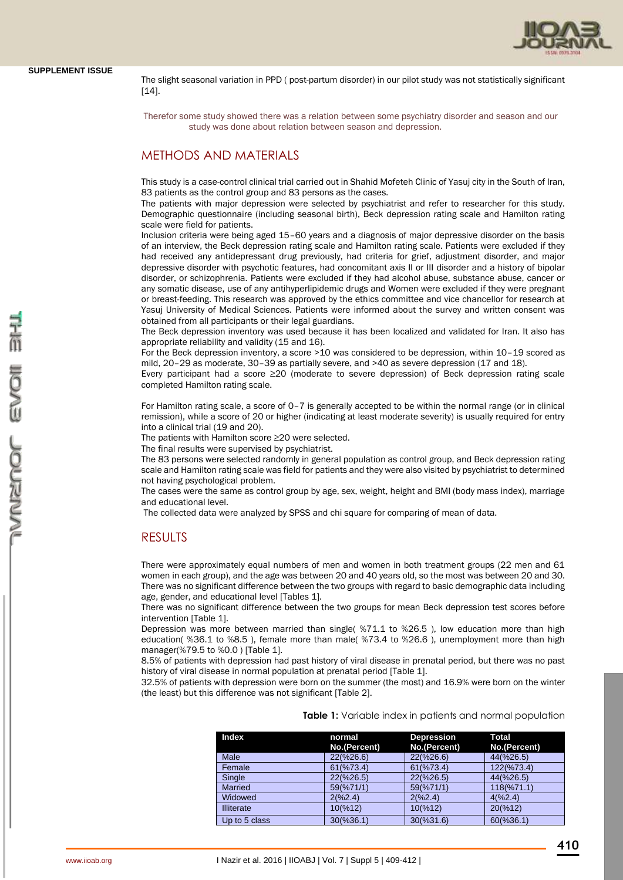The slight seasonal variation in PPD ( post-partum disorder) in our pilot study was not statistically significant [14].

 Therefor some study showed there was a relation between some psychiatry disorder and season and our study was done about relation between season and depression.

# METHODS AND MATERIALS

This study is a case-control clinical trial carried out in Shahid Mofeteh Clinic of Yasuj city in the South of Iran, 83 patients as the control group and 83 persons as the cases.

The patients with major depression were selected by psychiatrist and refer to researcher for this study. Demographic questionnaire (including seasonal birth), Beck depression rating scale and Hamilton rating scale were field for patients.

Inclusion criteria were being aged 15–60 years and a diagnosis of major depressive disorder on the basis of an interview, the Beck depression rating scale and Hamilton rating scale. Patients were excluded if they had received any antidepressant drug previously, had criteria for grief, adjustment disorder, and major depressive disorder with psychotic features, had concomitant axis II or III disorder and a history of bipolar disorder, or schizophrenia. Patients were excluded if they had alcohol abuse, substance abuse, cancer or any somatic disease, use of any antihyperlipidemic drugs and Women were excluded if they were pregnant or breast-feeding. This research was approved by the ethics committee and vice chancellor for research at Yasuj University of Medical Sciences. Patients were informed about the survey and written consent was obtained from all participants or their legal guardians.

The Beck depression inventory was used because it has been localized and validated for Iran. It also has appropriate reliability and validity (15 and 16).

For the Beck depression inventory, a score >10 was considered to be depression, within 10–19 scored as mild, 20–29 as moderate, 30–39 as partially severe, and >40 as severe depression (17 and 18).

Every participant had a score ≥20 (moderate to severe depression) of Beck depression rating scale completed Hamilton rating scale.

For Hamilton rating scale, a score of 0–7 is generally accepted to be within the normal range (or in clinical remission), while a score of 20 or higher (indicating at least moderate severity) is usually required for entry into a clinical trial (19 and 20).

The patients with Hamilton score ≥20 were selected.

The final results were supervised by psychiatrist.

The 83 persons were selected randomly in general population as control group, and Beck depression rating scale and Hamilton rating scale was field for patients and they were also visited by psychiatrist to determined not having psychological problem.

The cases were the same as control group by age, sex, weight, height and BMI (body mass index), marriage and educational level.

The collected data were analyzed by SPSS and chi square for comparing of mean of data.

### RESULTS

There were approximately equal numbers of men and women in both treatment groups (22 men and 61 women in each group), and the age was between 20 and 40 years old, so the most was between 20 and 30. There was no significant difference between the two groups with regard to basic demographic data including age, gender, and educational level [Tables 1].

There was no significant difference between the two groups for mean Beck depression test scores before intervention [Table 1].

Depression was more between married than single( %71.1 to %26.5 ), low education more than high education( %36.1 to %8.5 ), female more than male( %73.4 to %26.6 ), unemployment more than high manager(%79.5 to %0.0 ) [Table 1].

8.5% of patients with depression had past history of viral disease in prenatal period, but there was no past history of viral disease in normal population at prenatal period [Table 1].

32.5% of patients with depression were born on the summer (the most) and 16.9% were born on the winter (the least) but this difference was not significant [Table 2].

|  |  | Table 1: Variable index in patients and normal population |  |  |  |  |  |  |
|--|--|-----------------------------------------------------------|--|--|--|--|--|--|
|--|--|-----------------------------------------------------------|--|--|--|--|--|--|

| <b>Index</b>      | normal<br>No.(Percent) | <b>Depression</b><br>No.(Percent) | <b>Total</b><br>No.(Percent) |
|-------------------|------------------------|-----------------------------------|------------------------------|
| Male              | $22(\frac{6}{26.6})$   | 22(%26.6)                         | 44(%26.5)                    |
| Female            | 61(%73.4)              | 61(%73.4)                         | 122(%73.4)                   |
| Single            | 22(%26.5)              | 22(%26.5)                         | 44(%26.5)                    |
| <b>Married</b>    | 59(%71/1)              | 59(%71/1)                         | 118(%71.1)                   |
| Widowed           | 2(%2.4)                | 2(%2.4)                           | 4(%2.4)                      |
| <b>Illiterate</b> | 10(%12)                | 10(%12)                           | 20(%12)                      |
| Up to 5 class     | 30(%36.1)              | 30(%31.6)                         | 60(%36.1)                    |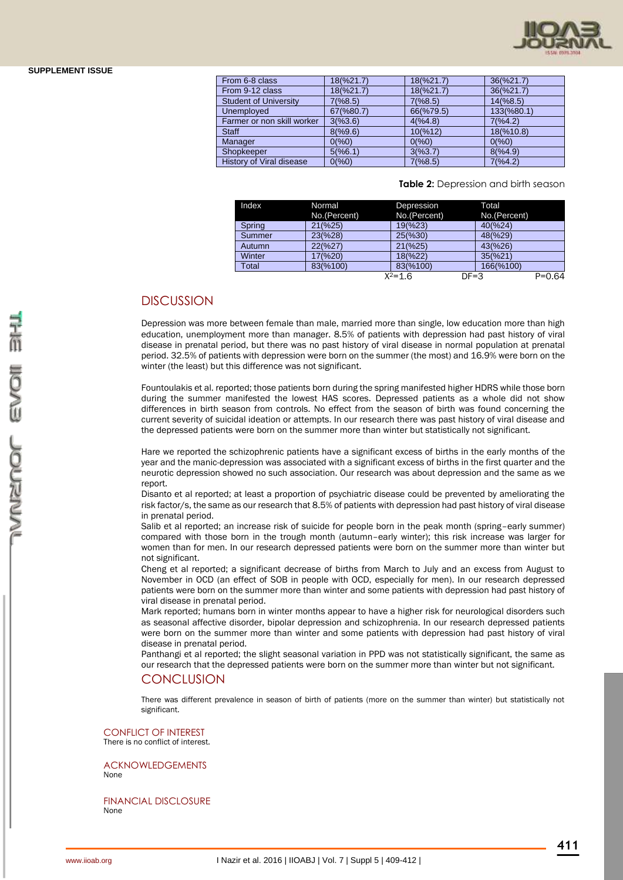

| From 6-8 class               | 18(%21.7) | 18(%21.7) | 36(%21.7)  |
|------------------------------|-----------|-----------|------------|
| From 9-12 class              | 18(%21.7) | 18(%21.7) | 36(%21.7)  |
| <b>Student of University</b> | 7(%8.5)   | 7(%8.5)   | 14(%8.5)   |
| Unemployed                   | 67(%80.7) | 66(%79.5) | 133(%80.1) |
| Farmer or non skill worker   | 3(%3.6)   | 4(%4.8)   | 7(%4.2)    |
| <b>Staff</b>                 | 8(%9.6)   | 10(%12)   | 18(%10.8)  |
| Manager                      | 0(%0)     | 0(%0)     | 0(%0)      |
| Shopkeeper                   | 5(%6.1)   | 3(%3.7)   | 8(%4.9)    |
| History of Viral disease     | 0(%0)     | 7(%8.5)   | 7(%4.2)    |
|                              |           |           |            |

#### **Table 2:** Depression and birth season

| Index  | Normal       | Depression         | Total        |            |
|--------|--------------|--------------------|--------------|------------|
|        | No.(Percent) | No.(Percent)       | No.(Percent) |            |
| Spring | 21(%25)      | 19(%23)            | 40(%24)      |            |
| Summer | 23(%28)      | $25(\frac{6}{30})$ | 48(%29)      |            |
| Autumn | 22(%27)      | $21(\frac{6}{25})$ | 43(%26)      |            |
| Winter | 17(%20)      | 18(%22)            | 35(%21)      |            |
| Total  | 83(%100)     | 83(%100)           | 166(%100)    |            |
|        |              | $X^2 = 1.6$        | $DF = 3$     | $P = 0.64$ |

### **DISCUSSION**

Depression was more between female than male, married more than single, low education more than high education, unemployment more than manager. 8.5% of patients with depression had past history of viral disease in prenatal period, but there was no past history of viral disease in normal population at prenatal period. 32.5% of patients with depression were born on the summer (the most) and 16.9% were born on the winter (the least) but this difference was not significant.

Fountoulakis et al. reported; those patients born during the spring manifested higher HDRS while those born during the summer manifested the lowest HAS scores. Depressed patients as a whole did not show differences in birth season from controls. No effect from the season of birth was found concerning the current severity of suicidal ideation or attempts. In our research there was past history of viral disease and the depressed patients were born on the summer more than winter but statistically not significant.

Hare we reported the schizophrenic patients have a significant excess of births in the early months of the year and the manic-depression was associated with a significant excess of births in the first quarter and the neurotic depression showed no such association. Our research was about depression and the same as we report.

Disanto et al reported; at least a proportion of psychiatric disease could be prevented by ameliorating the risk factor/s, the same as our research that 8.5% of patients with depression had past history of viral disease in prenatal period.

[Salib](http://bjp.rcpsych.org/search?author1=EMAD+SALIB&sortspec=date&submit=Submit) et al reported; an increase risk of suicide for people born in the peak month (spring–early summer) compared with those born in the trough month (autumn–early winter); this risk increase was larger for women than for men. In our research depressed patients were born on the summer more than winter but not significant.

Cheng et al reported; a significant decrease of births from March to July and an excess from August to November in OCD (an effect of SOB in people with OCD, especially for men). In our research depressed patients were born on the summer more than winter and some patients with depression had past history of viral disease in prenatal period.

Mark reported; humans born in winter months appear to have a higher risk for neurological disorders such as seasonal affective disorder, bipolar depression and schizophrenia. In our research depressed patients were born on the summer more than winter and some patients with depression had past history of viral disease in prenatal period.

Panthangi et al reported; the slight seasonal variation in PPD was not statistically significant, the same as our research that the depressed patients were born on the summer more than winter but not significant.

#### **CONCLUSION**

There was different prevalence in season of birth of patients (more on the summer than winter) but statistically not significant.

CONFLICT OF INTEREST There is no conflict of interest.

ACKNOWLEDGEMENTS None

FINANCIAL DISCLOSURE None